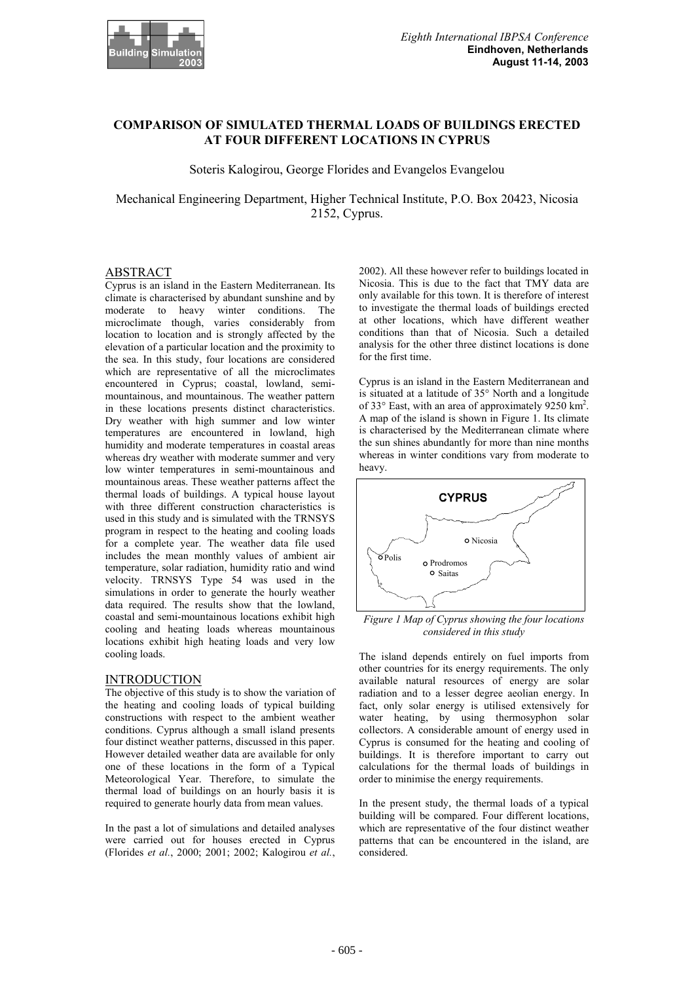

# **COMPARISON OF SIMULATED THERMAL LOADS OF BUILDINGS ERECTED AT FOUR DIFFERENT LOCATIONS IN CYPRUS**

Soteris Kalogirou, George Florides and Evangelos Evangelou

Mechanical Engineering Department, Higher Technical Institute, P.O. Box 20423, Nicosia 2152, Cyprus.

## ABSTRACT

Cyprus is an island in the Eastern Mediterranean. Its climate is characterised by abundant sunshine and by moderate to heavy winter conditions. The microclimate though, varies considerably from location to location and is strongly affected by the elevation of a particular location and the proximity to the sea. In this study, four locations are considered which are representative of all the microclimates encountered in Cyprus; coastal, lowland, semimountainous, and mountainous. The weather pattern in these locations presents distinct characteristics. Dry weather with high summer and low winter temperatures are encountered in lowland, high humidity and moderate temperatures in coastal areas whereas dry weather with moderate summer and very low winter temperatures in semi-mountainous and mountainous areas. These weather patterns affect the thermal loads of buildings. A typical house layout with three different construction characteristics is used in this study and is simulated with the TRNSYS program in respect to the heating and cooling loads for a complete year. The weather data file used includes the mean monthly values of ambient air temperature, solar radiation, humidity ratio and wind velocity. TRNSYS Type 54 was used in the simulations in order to generate the hourly weather data required. The results show that the lowland, coastal and semi-mountainous locations exhibit high cooling and heating loads whereas mountainous locations exhibit high heating loads and very low cooling loads.

#### **INTRODUCTION**

The objective of this study is to show the variation of the heating and cooling loads of typical building constructions with respect to the ambient weather conditions. Cyprus although a small island presents four distinct weather patterns, discussed in this paper. However detailed weather data are available for only one of these locations in the form of a Typical Meteorological Year. Therefore, to simulate the thermal load of buildings on an hourly basis it is required to generate hourly data from mean values.

In the past a lot of simulations and detailed analyses were carried out for houses erected in Cyprus (Florides *et al.*, 2000; 2001; 2002; Kalogirou *et al.*, 2002). All these however refer to buildings located in Nicosia. This is due to the fact that TMY data are only available for this town. It is therefore of interest to investigate the thermal loads of buildings erected at other locations, which have different weather conditions than that of Nicosia. Such a detailed analysis for the other three distinct locations is done for the first time.

Cyprus is an island in the Eastern Mediterranean and is situated at a latitude of 35° North and a longitude of 33 $\degree$  East, with an area of approximately 9250 km<sup>2</sup>. A map of the island is shown in Figure 1. Its climate is characterised by the Mediterranean climate where the sun shines abundantly for more than nine months whereas in winter conditions vary from moderate to heavy.



*Figure 1 Map of Cyprus showing the four locations considered in this study* 

The island depends entirely on fuel imports from other countries for its energy requirements. The only available natural resources of energy are solar radiation and to a lesser degree aeolian energy. In fact, only solar energy is utilised extensively for water heating, by using thermosyphon solar collectors. A considerable amount of energy used in Cyprus is consumed for the heating and cooling of buildings. It is therefore important to carry out calculations for the thermal loads of buildings in order to minimise the energy requirements.

In the present study, the thermal loads of a typical building will be compared. Four different locations, which are representative of the four distinct weather patterns that can be encountered in the island, are considered.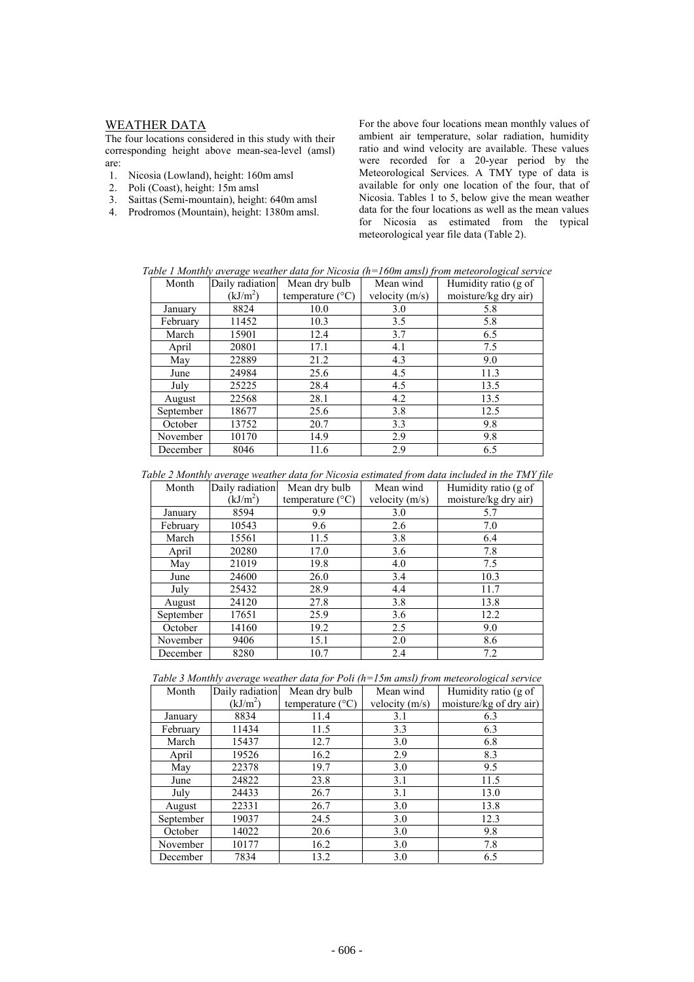# WEATHER DATA

The four locations considered in this study with their corresponding height above mean-sea-level (amsl) are:

- 1. Nicosia (Lowland), height: 160m amsl
- 2. Poli (Coast), height: 15m amsl
- 3. Saittas (Semi-mountain), height: 640m amsl
- 4. Prodromos (Mountain), height: 1380m amsl.

For the above four locations mean monthly values of ambient air temperature, solar radiation, humidity ratio and wind velocity are available. These values were recorded for a 20-year period by the Meteorological Services. A TMY type of data is available for only one location of the four, that of Nicosia. Tables  $1$  to 5, below give the mean weather data for the four locations as well as the mean values for Nicosia as estimated from the typical meteorological year file data (Table 2).

*Table 1 Monthly average weather data for Nicosia (h=160m amsl) from meteorological service* 

| Month     | ີ<br>Daily radiation | Mean dry bulb             | Mean wind        | $\tilde{}$<br>Humidity ratio (g of |
|-----------|----------------------|---------------------------|------------------|------------------------------------|
|           | (kJ/m <sup>2</sup> ) | temperature $(^{\circ}C)$ | velocity $(m/s)$ | moisture/kg dry air)               |
| January   | 8824                 | 10.0                      | 3.0              | 5.8                                |
| February  | 11452                | 10.3                      | 3.5              | 5.8                                |
| March     | 15901                | 12.4                      | 3.7              | 6.5                                |
| April     | 20801                | 17.1                      | 4.1              | 7.5                                |
| May       | 22889                | 21.2                      | 4.3              | 9.0                                |
| June      | 24984                | 25.6                      | 4.5              | 11.3                               |
| July      | 25225                | 28.4                      | 4.5              | 13.5                               |
| August    | 22568                | 28.1                      | 4.2              | 13.5                               |
| September | 18677                | 25.6                      | 3.8              | 12.5                               |
| October   | 13752                | 20.7                      | 3.3              | 9.8                                |
| November  | 10170                | 14.9                      | 2.9              | 9.8                                |
| December  | 8046                 | 11.6                      | 2.9              | 6.5                                |

*Table 2 Monthly average weather data for Nicosia estimated from data included in the TMY file* 

| Month     | Daily radiation      | Mean dry bulb<br>Mean wind |                  | Humidity ratio (g of |
|-----------|----------------------|----------------------------|------------------|----------------------|
|           | (kJ/m <sup>2</sup> ) | temperature $(^{\circ}C)$  | velocity $(m/s)$ | moisture/kg dry air) |
| January   | 8594                 | 9.9                        | 3.0              | 5.7                  |
| February  | 10543                | 9.6                        | 2.6              | 7.0                  |
| March     | 15561                | 11.5                       | 3.8              | 6.4                  |
| April     | 20280                | 17.0                       | 3.6              | 7.8                  |
| May       | 21019                | 19.8                       | 4.0              | 7.5                  |
| June      | 24600                | 26.0                       | 3.4              | 10.3                 |
| July      | 25432                | 28.9                       | 4.4              | 11.7                 |
| August    | 24120                | 27.8                       | 3.8              | 13.8                 |
| September | 17651                | 25.9                       | 3.6              | 12.2                 |
| October   | 14160                | 19.2                       | 2.5              | 9.0                  |
| November  | 9406                 | 15.1                       | 2.0              | 8.6                  |
| December  | 8280                 | 10.7                       | 2.4              | 7.2                  |

|  | Table 3 Monthly average weather data for Poli $(h=15m$ amsl) from meteorological service |  |  |  |
|--|------------------------------------------------------------------------------------------|--|--|--|
|--|------------------------------------------------------------------------------------------|--|--|--|

| Month     | Daily radiation      | Mean dry bulb<br>Mean wind |                  | Humidity ratio (g of    |
|-----------|----------------------|----------------------------|------------------|-------------------------|
|           | (kJ/m <sup>2</sup> ) | temperature $(^{\circ}C)$  | velocity $(m/s)$ | moisture/kg of dry air) |
| January   | 8834                 | 11.4                       | 3.1              | 6.3                     |
| February  | 11434                | 11.5                       | 3.3              | 6.3                     |
| March     | 15437                | 12.7                       | 3.0              | 6.8                     |
| April     | 19526                | 16.2                       | 2.9              | 8.3                     |
| May       | 22378                | 19.7                       | 3.0              | 9.5                     |
| June      | 24822                | 23.8                       | 3.1              | 11.5                    |
| July      | 24433                | 26.7                       | 3.1              | 13.0                    |
| August    | 22331                | 26.7                       | 3.0              | 13.8                    |
| September | 19037                | 24.5                       | 3.0              | 12.3                    |
| October   | 14022                | 20.6                       | 3.0              | 9.8                     |
| November  | 10177                | 16.2                       | 3.0              | 7.8                     |
| December  | 7834                 | 13.2                       | 3.0              | 6.5                     |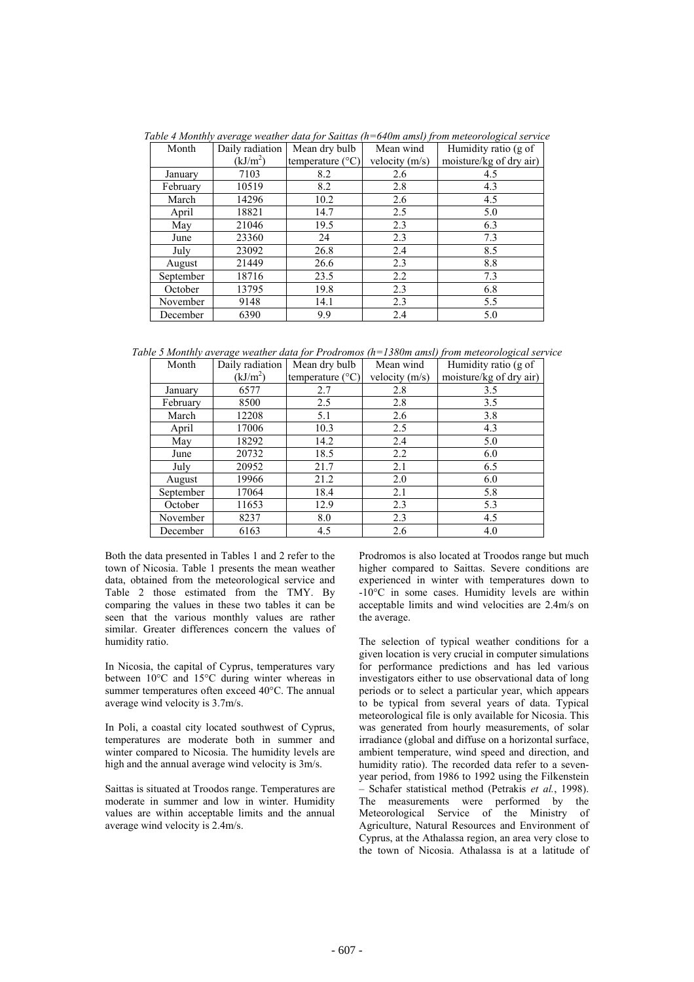| Month     | Daily radiation<br>Mean dry bulb |                           | Mean wind        | Humidity ratio (g of    |
|-----------|----------------------------------|---------------------------|------------------|-------------------------|
|           | (kJ/m <sup>2</sup> )             | temperature $(^{\circ}C)$ | velocity $(m/s)$ | moisture/kg of dry air) |
| January   | 7103                             | 8.2                       | 2.6              | 4.5                     |
| February  | 10519                            | 8.2                       | 2.8              | 4.3                     |
| March     | 14296                            | 10.2                      | 2.6              | 4.5                     |
| April     | 18821                            | 14.7                      | 2.5              | 5.0                     |
| May       | 21046                            | 19.5                      | 2.3              | 6.3                     |
| June      | 23360                            | 24                        | 2.3              | 7.3                     |
| July      | 23092                            | 26.8                      | 2.4              | 8.5                     |
| August    | 21449                            | 26.6                      | 2.3              | 8.8                     |
| September | 18716                            | 23.5                      | 2.2              | 7.3                     |
| October   | 13795                            | 19.8                      | 2.3              | 6.8                     |
| November  | 9148                             | 14.1                      | 2.3              | 5.5                     |
| December  | 6390                             | 9.9                       | 2.4              | 5.0                     |

*Table 4 Monthly average weather data for Saittas (h=640m amsl) from meteorological service* 

*Table 5 Monthly average weather data for Prodromos (h=1380m amsl) from meteorological service* 

| Month     | Daily radiation      | Mean dry bulb<br>Mean wind |                  | Humidity ratio (g of    |
|-----------|----------------------|----------------------------|------------------|-------------------------|
|           | (kJ/m <sup>2</sup> ) | temperature $(^{\circ}C)$  | velocity $(m/s)$ | moisture/kg of dry air) |
| January   | 6577                 | 2.7                        | 2.8              | 3.5                     |
| February  | 8500                 | 2.5                        | 2.8              | 3.5                     |
| March     | 12208                | 5.1                        | 2.6              | 3.8                     |
| April     | 17006                | 10.3                       | 2.5              | 4.3                     |
| May       | 18292                | 14.2                       | 2.4              | 5.0                     |
| June      | 20732                | 18.5                       | 2.2              | 6.0                     |
| July      | 20952                | 21.7                       | 2.1              | 6.5                     |
| August    | 19966                | 21.2                       | 2.0              | 6.0                     |
| September | 17064                | 18.4                       | 2.1              | 5.8                     |
| October   | 11653                | 12.9                       | 2.3              | 5.3                     |
| November  | 8237                 | 8.0                        | 2.3              | 4.5                     |
| December  | 6163                 | 4.5                        | 2.6              | 4.0                     |

Both the data presented in Tables 1 and 2 refer to the town of Nicosia. Table 1 presents the mean weather data, obtained from the meteorological service and Table 2 those estimated from the TMY. By comparing the values in these two tables it can be seen that the various monthly values are rather similar. Greater differences concern the values of humidity ratio.

In Nicosia, the capital of Cyprus, temperatures vary between 10°C and 15°C during winter whereas in summer temperatures often exceed 40°C. The annual average wind velocity is 3.7m/s.

In Poli, a coastal city located southwest of Cyprus, temperatures are moderate both in summer and winter compared to Nicosia. The humidity levels are high and the annual average wind velocity is 3m/s.

Saittas is situated at Troodos range. Temperatures are moderate in summer and low in winter. Humidity values are within acceptable limits and the annual average wind velocity is 2.4m/s.

Prodromos is also located at Troodos range but much higher compared to Saittas. Severe conditions are experienced in winter with temperatures down to -10°C in some cases. Humidity levels are within acceptable limits and wind velocities are 2.4m/s on the average.

The selection of typical weather conditions for a given location is very crucial in computer simulations for performance predictions and has led various investigators either to use observational data of long periods or to select a particular year, which appears to be typical from several years of data. Typical meteorological file is only available for Nicosia. This was generated from hourly measurements, of solar irradiance (global and diffuse on a horizontal surface, ambient temperature, wind speed and direction, and humidity ratio). The recorded data refer to a sevenyear period, from 1986 to 1992 using the Filkenstein – Schafer statistical method (Petrakis *et al.*, 1998). The measurements were performed by the Meteorological Service of the Ministry of Agriculture, Natural Resources and Environment of Cyprus, at the Athalassa region, an area very close to the town of Nicosia. Athalassa is at a latitude of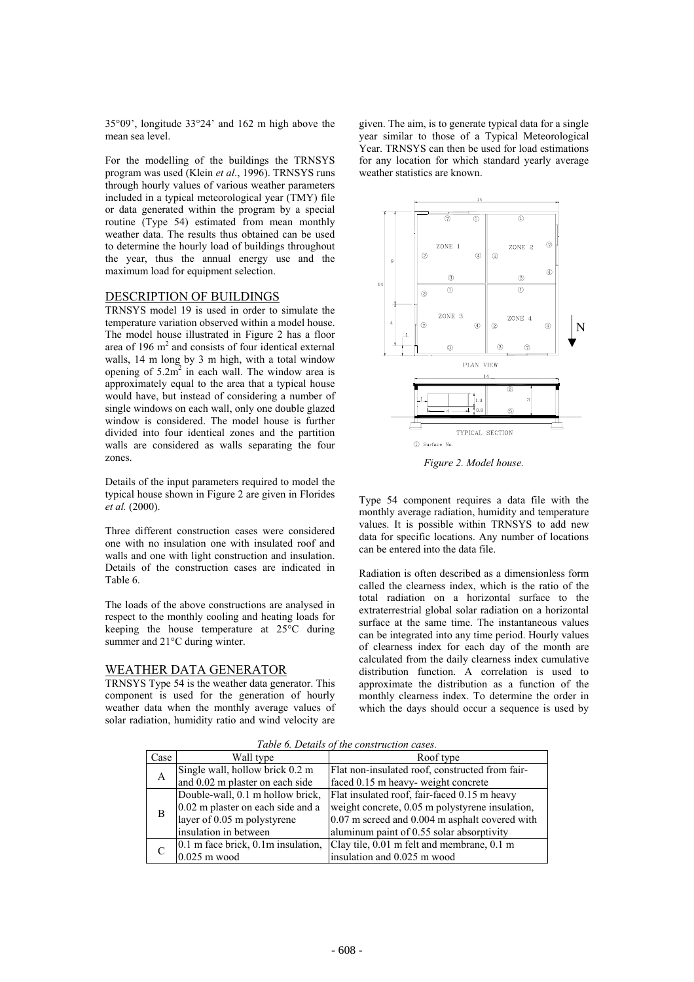35°09', longitude 33°24' and 162 m high above the mean sea level.

For the modelling of the buildings the TRNSYS program was used (Klein *et al.*, 1996). TRNSYS runs through hourly values of various weather parameters included in a typical meteorological year (TMY) file or data generated within the program by a special routine (Type 54) estimated from mean monthly weather data. The results thus obtained can be used to determine the hourly load of buildings throughout the year, thus the annual energy use and the maximum load for equipment selection.

#### DESCRIPTION OF BUILDINGS

TRNSYS model 19 is used in order to simulate the temperature variation observed within a model house. The model house illustrated in Figure 2 has a floor area of  $196 \text{ m}^2$  and consists of four identical external walls, 14 m long by 3 m high, with a total window opening of  $5.2m^2$  in each wall. The window area is approximately equal to the area that a typical house would have, but instead of considering a number of single windows on each wall, only one double glazed window is considered. The model house is further divided into four identical zones and the partition walls are considered as walls separating the four zones.

Details of the input parameters required to model the typical house shown in Figure 2 are given in Florides *et al.* (2000).

Three different construction cases were considered one with no insulation one with insulated roof and walls and one with light construction and insulation. Details of the construction cases are indicated in Table 6.

The loads of the above constructions are analysed in respect to the monthly cooling and heating loads for keeping the house temperature at 25°C during summer and 21°C during winter.

## WEATHER DATA GENERATOR

TRNSYS Type 54 is the weather data generator. This component is used for the generation of hourly weather data when the monthly average values of solar radiation, humidity ratio and wind velocity are

given. The aim, is to generate typical data for a single year similar to those of a Typical Meteorological Year. TRNSYS can then be used for load estimations for any location for which standard yearly average weather statistics are known.



*Figure 2. Model house.* 

Type 54 component requires a data file with the monthly average radiation, humidity and temperature values. It is possible within TRNSYS to add new data for specific locations. Any number of locations can be entered into the data file.

Radiation is often described as a dimensionless form called the clearness index, which is the ratio of the total radiation on a horizontal surface to the extraterrestrial global solar radiation on a horizontal surface at the same time. The instantaneous values can be integrated into any time period. Hourly values of clearness index for each day of the month are calculated from the daily clearness index cumulative distribution function. A correlation is used to approximate the distribution as a function of the monthly clearness index. To determine the order in which the days should occur a sequence is used by

*Table 6. Details of the construction cases.* 

|      |                                         | <u>of the condition diction can</u>             |
|------|-----------------------------------------|-------------------------------------------------|
| Case | Wall type                               | Roof type                                       |
|      | Single wall, hollow brick 0.2 m         | Flat non-insulated roof, constructed from fair- |
| A    | and 0.02 m plaster on each side         | faced 0.15 m heavy- weight concrete             |
|      | Double-wall, 0.1 m hollow brick,        | Flat insulated roof, fair-faced 0.15 m heavy    |
| B    | 0.02 m plaster on each side and a       | weight concrete, 0.05 m polystyrene insulation, |
|      | layer of 0.05 m polystyrene             | 0.07 m screed and 0.004 m asphalt covered with  |
|      | insulation in between                   | aluminum paint of 0.55 solar absorptivity       |
|      | $0.1$ m face brick, $0.1$ m insulation, | Clay tile, 0.01 m felt and membrane, 0.1 m      |
|      | $0.025$ m wood                          | insulation and 0.025 m wood                     |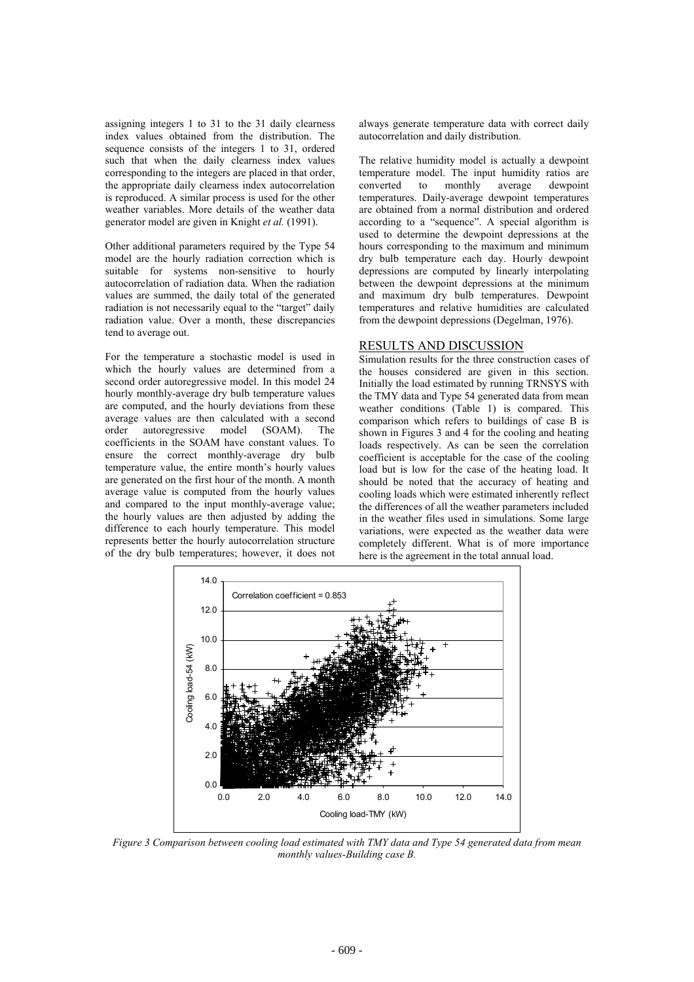assigning integers 1 to 31 to the 31 daily clearness index values obtained from the distribution. The sequence consists of the integers 1 to 31, ordered such that when the daily clearness index values corresponding to the integers are placed in that order, the appropriate daily clearness index autocorrelation is reproduced. A similar process is used for the other weather variables. More details of the weather data generator model are given in Knight *et al.* (1991).

Other additional parameters required by the Type 54 model are the hourly radiation correction which is suitable for systems non-sensitive to hourly autocorrelation of radiation data. When the radiation values are summed, the daily total of the generated radiation is not necessarily equal to the "target" daily radiation value. Over a month, these discrepancies tend to average out.

For the temperature a stochastic model is used in which the hourly values are determined from a second order autoregressive model. In this model 24 hourly monthly-average dry bulb temperature values are computed, and the hourly deviations from these average values are then calculated with a second order autoregressive model (SOAM). The coefficients in the SOAM have constant values. To ensure the correct monthly-average dry bulb temperature value, the entire month's hourly values are generated on the first hour of the month. A month average value is computed from the hourly values and compared to the input monthly-average value; the hourly values are then adjusted by adding the difference to each hourly temperature. This model represents better the hourly autocorrelation structure of the dry bulb temperatures; however, it does not always generate temperature data with correct daily autocorrelation and daily distribution.

The relative humidity model is actually a dewpoint temperature model. The input humidity ratios are converted to monthly average dewpoint temperatures. Daily-average dewpoint temperatures are obtained from a normal distribution and ordered according to a "sequence". A special algorithm is used to determine the dewpoint depressions at the hours corresponding to the maximum and minimum dry bulb temperature each day. Hourly dewpoint depressions are computed by linearly interpolating between the dewpoint depressions at the minimum and maximum dry bulb temperatures. Dewpoint temperatures and relative humidities are calculated from the dewpoint depressions (Degelman, 1976).

#### RESULTS AND DISCUSSION

Simulation results for the three construction cases of the houses considered are given in this section. Initially the load estimated by running TRNSYS with the TMY data and Type 54 generated data from mean weather conditions (Table 1) is compared. This comparison which refers to buildings of case B is shown in Figures 3 and 4 for the cooling and heating loads respectively. As can be seen the correlation coefficient is acceptable for the case of the cooling load but is low for the case of the heating load. It should be noted that the accuracy of heating and cooling loads which were estimated inherently reflect the differences of all the weather parameters included in the weather files used in simulations. Some large variations, were expected as the weather data were completely different. What is of more importance here is the agreement in the total annual load.



*Figure 3 Comparison between cooling load estimated with TMY data and Type 54 generated data from mean monthly values-Building case B.*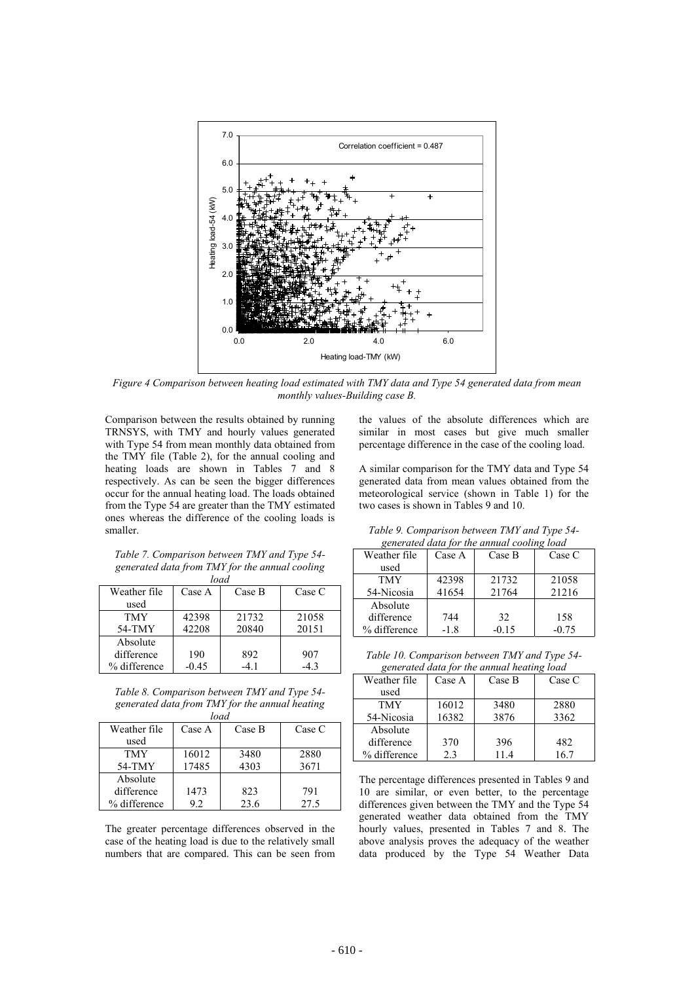

*Figure 4 Comparison between heating load estimated with TMY data and Type 54 generated data from mean monthly values-Building case B.* 

Comparison between the results obtained by running TRNSYS, with TMY and hourly values generated with Type 54 from mean monthly data obtained from the TMY file (Table 2), for the annual cooling and heating loads are shown in Tables 7 and 8 respectively. As can be seen the bigger differences occur for the annual heating load. The loads obtained from the Type 54 are greater than the TMY estimated ones whereas the difference of the cooling loads is smaller.

*Table 7. Comparison between TMY and Type 54 generated data from TMY for the annual cooling load*

|              | ivuu    |        |        |
|--------------|---------|--------|--------|
| Weather file | Case A  | Case B | Case C |
| used         |         |        |        |
| <b>TMY</b>   | 42398   | 21732  | 21058  |
| 54-TMY       | 42208   | 20840  | 20151  |
| Absolute     |         |        |        |
| difference   | 190     | 892    | 907    |
| % difference | $-0.45$ |        | -43    |

*Table 8. Comparison between TMY and Type 54 generated data from TMY for the annual heating* 

| load         |        |        |        |  |  |  |
|--------------|--------|--------|--------|--|--|--|
| Weather file | Case A | Case B | Case C |  |  |  |
| used         |        |        |        |  |  |  |
| <b>TMY</b>   | 16012  | 3480   | 2880   |  |  |  |
| 54-TMY       | 17485  | 4303   | 3671   |  |  |  |
| Absolute     |        |        |        |  |  |  |
| difference   | 1473   | 823    | 791    |  |  |  |
| % difference | 92     | 23.6   | 27.5   |  |  |  |

The greater percentage differences observed in the case of the heating load is due to the relatively small numbers that are compared. This can be seen from the values of the absolute differences which are similar in most cases but give much smaller percentage difference in the case of the cooling load.

A similar comparison for the TMY data and Type 54 generated data from mean values obtained from the meteorological service (shown in Table 1) for the two cases is shown in Tables 9 and 10.

*Table 9. Comparison between TMY and Type 54 generated data for the annual cooling load* 

| Weather file | Case A | Case B  | Case C  |  |  |
|--------------|--------|---------|---------|--|--|
| used         |        |         |         |  |  |
| TMY          | 42398  | 21732   | 21058   |  |  |
| 54-Nicosia   | 41654  | 21764   | 21216   |  |  |
| Absolute     |        |         |         |  |  |
| difference   | 744    | 32      | 158     |  |  |
| % difference | $-1.8$ | $-0.15$ | $-0.75$ |  |  |

*Table 10. Comparison between TMY and Type 54 generated data for the annual heating load* 

|              | $\zeta$ cheralca aana jor inc annual neutrig toutu |        |        |  |  |  |
|--------------|----------------------------------------------------|--------|--------|--|--|--|
| Weather file | Case A                                             | Case B | Case C |  |  |  |
| used         |                                                    |        |        |  |  |  |
| <b>TMY</b>   | 16012                                              | 3480   | 2880   |  |  |  |
| 54-Nicosia   | 16382                                              | 3876   | 3362   |  |  |  |
| Absolute     |                                                    |        |        |  |  |  |
| difference   | 370                                                | 396    | 482    |  |  |  |
| % difference | 2.3                                                | 114    | 16.7   |  |  |  |

The percentage differences presented in Tables 9 and 10 are similar, or even better, to the percentage differences given between the TMY and the Type 54 generated weather data obtained from the TMY hourly values, presented in Tables 7 and 8. The above analysis proves the adequacy of the weather data produced by the Type 54 Weather Data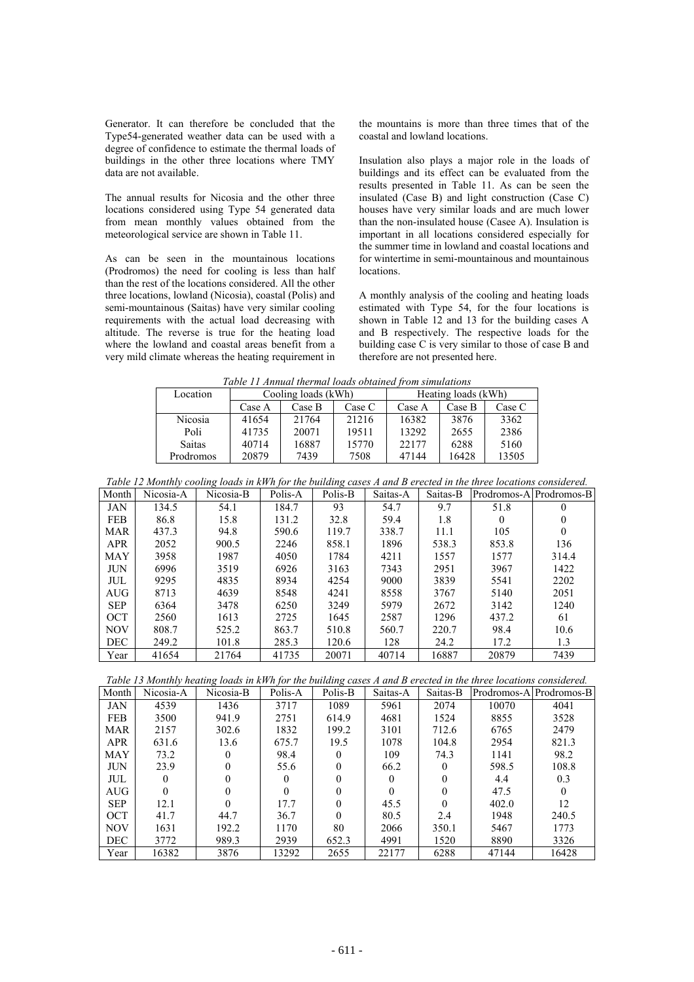Generator. It can therefore be concluded that the Type54-generated weather data can be used with a degree of confidence to estimate the thermal loads of buildings in the other three locations where TMY data are not available.

The annual results for Nicosia and the other three locations considered using Type 54 generated data from mean monthly values obtained from the meteorological service are shown in Table 11.

As can be seen in the mountainous locations (Prodromos) the need for cooling is less than half than the rest of the locations considered. All the other three locations, lowland (Nicosia), coastal (Polis) and semi-mountainous (Saitas) have very similar cooling requirements with the actual load decreasing with altitude. The reverse is true for the heating load where the lowland and coastal areas benefit from a very mild climate whereas the heating requirement in

the mountains is more than three times that of the coastal and lowland locations.

Insulation also plays a major role in the loads of buildings and its effect can be evaluated from the results presented in Table 11. As can be seen the insulated (Case B) and light construction (Case C) houses have very similar loads and are much lower than the non-insulated house (Casee A). Insulation is important in all locations considered especially for the summer time in lowland and coastal locations and for wintertime in semi-mountainous and mountainous locations.

A monthly analysis of the cooling and heating loads estimated with Type 54, for the four locations is shown in Table 12 and 13 for the building cases A and B respectively. The respective loads for the building case C is very similar to those of case B and therefore are not presented here.

*Table 11 Annual thermal loads obtained from simulations* 

| Tuble 11 Annual thermal louds boldined from simulations |                     |        |        |                     |        |        |
|---------------------------------------------------------|---------------------|--------|--------|---------------------|--------|--------|
| Location                                                | Cooling loads (kWh) |        |        | Heating loads (kWh) |        |        |
|                                                         | Case A              | Case B | Case C | Case A              | Case B | Case C |
| <b>Nicosia</b>                                          | 41654               | 21764  | 21216  | 16382               | 3876   | 3362   |
| Poli                                                    | 41735               | 20071  | 19511  | 13292               | 2655   | 2386   |
| <b>Saitas</b>                                           | 40714               | 16887  | 15770  | 22177               | 6288   | 5160   |
| Prodromos                                               | 20879               | 7439   | 7508   | 47144               | 16428  | 13505  |

|  |  | Table 12 Monthly cooling loads in kWh for the building cases A and B erected in the three locations considered. |
|--|--|-----------------------------------------------------------------------------------------------------------------|
|--|--|-----------------------------------------------------------------------------------------------------------------|

| Month      | Nicosia-A | Nicosia-B | Polis-A | Polis-B | Saitas-A | Saitas-B |       | Prodromos-A Prodromos-B |
|------------|-----------|-----------|---------|---------|----------|----------|-------|-------------------------|
| <b>JAN</b> | 134.5     | 54.1      | 184.7   | 93      | 54.7     | 9.7      | 51.8  | $\Omega$                |
| <b>FEB</b> | 86.8      | 15.8      | 131.2   | 32.8    | 59.4     | 1.8      | 0     | 0                       |
| <b>MAR</b> | 437.3     | 94.8      | 590.6   | 119.7   | 338.7    | 11.1     | 105   | 0                       |
| <b>APR</b> | 2052      | 900.5     | 2246    | 858.1   | 1896     | 538.3    | 853.8 | 136                     |
| <b>MAY</b> | 3958      | 1987      | 4050    | 1784    | 4211     | 1557     | 1577  | 314.4                   |
| <b>JUN</b> | 6996      | 3519      | 6926    | 3163    | 7343     | 2951     | 3967  | 1422                    |
| JUL        | 9295      | 4835      | 8934    | 4254    | 9000     | 3839     | 5541  | 2202                    |
| AUG        | 8713      | 4639      | 8548    | 4241    | 8558     | 3767     | 5140  | 2051                    |
| <b>SEP</b> | 6364      | 3478      | 6250    | 3249    | 5979     | 2672     | 3142  | 1240                    |
| <b>OCT</b> | 2560      | 1613      | 2725    | 1645    | 2587     | 1296     | 437.2 | 61                      |
| <b>NOV</b> | 808.7     | 525.2     | 863.7   | 510.8   | 560.7    | 220.7    | 98.4  | 10.6                    |
| <b>DEC</b> | 249.2     | 101.8     | 285.3   | 120.6   | 128      | 24.2     | 17.2  | 1.3                     |
| Year       | 41654     | 21764     | 41735   | 20071   | 40714    | 16887    | 20879 | 7439                    |

|  |  |  |  |  |  | Table 13 Monthly heating loads in kWh for the building cases A and B erected in the three locations considered. |  |
|--|--|--|--|--|--|-----------------------------------------------------------------------------------------------------------------|--|
|  |  |  |  |  |  |                                                                                                                 |  |

| Month      | Nicosia-A | Nicosia-B | Polis-A | Polis-B | Saitas-A | Saitas-B |       | Prodromos-A   Prodromos-B |
|------------|-----------|-----------|---------|---------|----------|----------|-------|---------------------------|
| <b>JAN</b> | 4539      | 1436      | 3717    | 1089    | 5961     | 2074     | 10070 | 4041                      |
| <b>FEB</b> | 3500      | 941.9     | 2751    | 614.9   | 4681     | 1524     | 8855  | 3528                      |
| <b>MAR</b> | 2157      | 302.6     | 1832    | 199.2   | 3101     | 712.6    | 6765  | 2479                      |
| <b>APR</b> | 631.6     | 13.6      | 675.7   | 19.5    | 1078     | 104.8    | 2954  | 821.3                     |
| <b>MAY</b> | 73.2      |           | 98.4    |         | 109      | 74.3     | 1141  | 98.2                      |
| <b>JUN</b> | 23.9      |           | 55.6    | 0       | 66.2     | $\Omega$ | 598.5 | 108.8                     |
| JUL        |           |           | 0       |         |          | 0        | 4.4   | 0.3                       |
| AUG        |           |           |         |         |          |          | 47.5  |                           |
| <b>SEP</b> | 12.1      |           | 17.7    |         | 45.5     |          | 402.0 | 12                        |
| <b>OCT</b> | 41.7      | 44.7      | 36.7    | 0       | 80.5     | 2.4      | 1948  | 240.5                     |
| <b>NOV</b> | 1631      | 192.2     | 1170    | 80      | 2066     | 350.1    | 5467  | 1773                      |
| <b>DEC</b> | 3772      | 989.3     | 2939    | 652.3   | 4991     | 1520     | 8890  | 3326                      |
| Year       | 16382     | 3876      | 13292   | 2655    | 22177    | 6288     | 47144 | 16428                     |